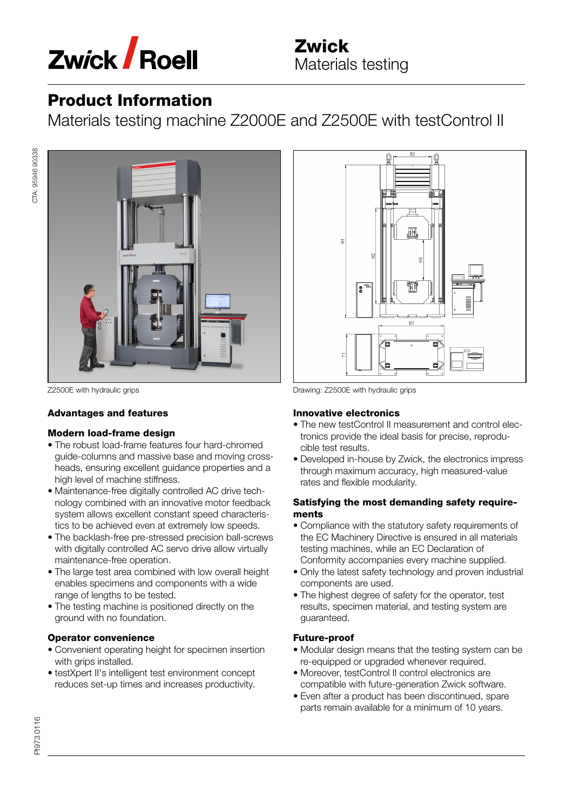

## Product Information

Materials testing machine Z2000E and Z2500E with testControl II



CTA: 95946 90338

CTA: 95946 90338

## Advantages and features

## Modern load-frame design

- The robust load-frame features four hard-chromed guide-columns and massive base and moving cross‐ heads, ensuring excellent guidance properties and a high level of machine stiffness.
- Maintenance-free digitally controlled AC drive tech‐ nology combined with an innovative motor feedback system allows excellent constant speed characteris‐ tics to be achieved even at extremely low speeds.
- The backlash-free pre-stressed precision ball-screws with digitally controlled AC servo drive allow virtually maintenance-free operation.
- The large test area combined with low overall height enables specimens and components with a wide range of lengths to be tested.
- The testing machine is positioned directly on the ground with no foundation.

## Operator convenience

- Convenient operating height for specimen insertion with grips installed.
- testXpert II's intelligent test environment concept reduces set-up times and increases productivity.



Z2500E with hydraulic grips Drawing: Z2500E with hydraulic grips

## Innovative electronics

- The new testControl II measurement and control elec‐ tronics provide the ideal basis for precise, reprodu‐ cible test results.
- Developed in-house by Zwick, the electronics impress through maximum accuracy, high measured-value rates and flexible modularity.

## Satisfying the most demanding safety require‐ ments

- Compliance with the statutory safety requirements of the EC Machinery Directive is ensured in all materials testing machines, while an EC Declaration of Conformity accompanies every machine supplied.
- Only the latest safety technology and proven industrial components are used.
- The highest degree of safety for the operator, test results, specimen material, and testing system are guaranteed.

## Future-proof

- Modular design means that the testing system can be re-equipped or upgraded whenever required.
- Moreover, testControl II control electronics are compatible with future-generation Zwick software.
- Even after a product has been discontinued, spare parts remain available for a minimum of 10 years.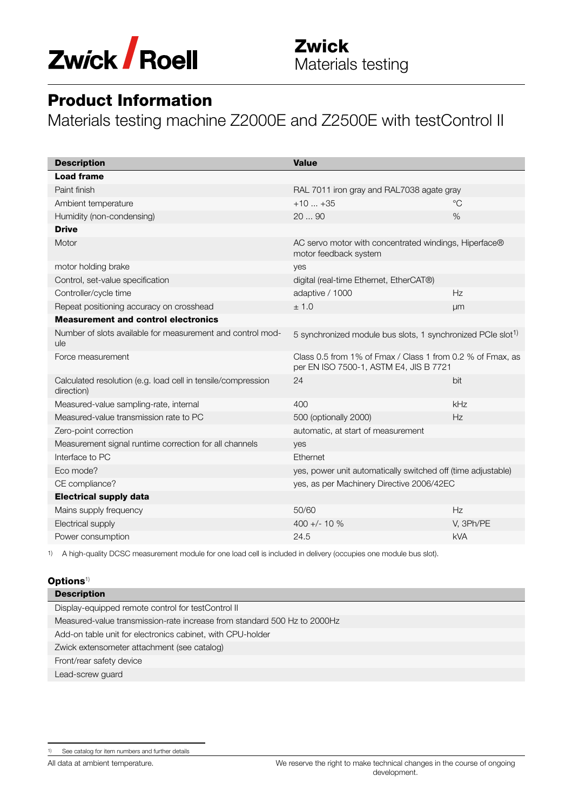

## Product Information

Materials testing machine Z2000E and Z2500E with testControl II

| <b>Description</b>                                                         | <b>Value</b>                                                                                         |             |
|----------------------------------------------------------------------------|------------------------------------------------------------------------------------------------------|-------------|
| <b>Load frame</b>                                                          |                                                                                                      |             |
| Paint finish                                                               | RAL 7011 iron gray and RAL7038 agate gray                                                            |             |
| Ambient temperature                                                        | $+10+35$                                                                                             | $^{\circ}C$ |
| Humidity (non-condensing)                                                  | 2090                                                                                                 | $\%$        |
| <b>Drive</b>                                                               |                                                                                                      |             |
| Motor                                                                      | AC servo motor with concentrated windings, Hiperface®<br>motor feedback system                       |             |
| motor holding brake                                                        | yes                                                                                                  |             |
| Control, set-value specification                                           | digital (real-time Ethernet, EtherCAT®)                                                              |             |
| Controller/cycle time                                                      | adaptive / 1000                                                                                      | Hz          |
| Repeat positioning accuracy on crosshead                                   | ± 1.0                                                                                                | μm          |
| <b>Measurement and control electronics</b>                                 |                                                                                                      |             |
| Number of slots available for measurement and control mod-<br>ule          | 5 synchronized module bus slots, 1 synchronized PCIe slot <sup>1)</sup>                              |             |
| Force measurement                                                          | Class 0.5 from 1% of Fmax / Class 1 from 0.2 % of Fmax, as<br>per EN ISO 7500-1, ASTM E4, JIS B 7721 |             |
| Calculated resolution (e.g. load cell in tensile/compression<br>direction) | 24                                                                                                   | bit         |
| Measured-value sampling-rate, internal                                     | 400                                                                                                  | kHz         |
| Measured-value transmission rate to PC                                     | 500 (optionally 2000)                                                                                | Hz          |
| Zero-point correction                                                      | automatic, at start of measurement                                                                   |             |
| Measurement signal runtime correction for all channels                     | yes                                                                                                  |             |
| Interface to PC                                                            | Ethernet                                                                                             |             |
| Eco mode?                                                                  | yes, power unit automatically switched off (time adjustable)                                         |             |
| CE compliance?                                                             | yes, as per Machinery Directive 2006/42EC                                                            |             |
| <b>Electrical supply data</b>                                              |                                                                                                      |             |
| Mains supply frequency                                                     | 50/60                                                                                                | Hz          |
| Electrical supply                                                          | 400 +/- 10 $%$                                                                                       | V, 3Ph/PE   |
| Power consumption                                                          | 24.5                                                                                                 | <b>kVA</b>  |

1) A high-quality DCSC measurement module for one load cell is included in delivery (occupies one module bus slot).

#### $\mathbf{Options}^{1)}$

| <b>Description</b>                                                       |
|--------------------------------------------------------------------------|
| Display-equipped remote control for testControl II                       |
| Measured-value transmission-rate increase from standard 500 Hz to 2000Hz |
| Add-on table unit for electronics cabinet, with CPU-holder               |
| Zwick extensometer attachment (see catalog)                              |
| Front/rear safety device                                                 |
| Lead-screw guard                                                         |
|                                                                          |

All data at ambient temperature.

<sup>1)</sup> See catalog for item numbers and further details